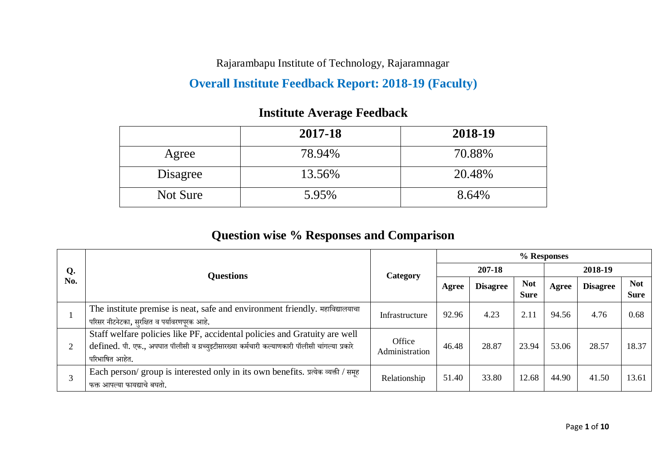Rajarambapu Institute of Technology, Rajaramnagar

### **Overall Institute Feedback Report: 2018-19 (Faculty)**

|          | 2017-18 | 2018-19 |
|----------|---------|---------|
| Agree    | 78.94%  | 70.88%  |
| Disagree | 13.56%  | 20.48%  |
| Not Sure | 5.95%   | 8.64%   |

### **Institute Average Feedback**

### **Question wise % Responses and Comparison**

|     |                                                                                                                                                                                               | <b>Category</b>          | % Responses |                 |                           |         |                 |                           |  |
|-----|-----------------------------------------------------------------------------------------------------------------------------------------------------------------------------------------------|--------------------------|-------------|-----------------|---------------------------|---------|-----------------|---------------------------|--|
| Q.  | <b>Questions</b>                                                                                                                                                                              |                          | 207-18      |                 |                           | 2018-19 |                 |                           |  |
| No. |                                                                                                                                                                                               |                          | Agree       | <b>Disagree</b> | <b>Not</b><br><b>Sure</b> | Agree   | <b>Disagree</b> | <b>Not</b><br><b>Sure</b> |  |
|     | The institute premise is neat, safe and environment friendly. महाविद्यालयाचा<br>परिसर नीटनेटका, सुरक्षित व पर्यावरणपूरक आहे.                                                                  | Infrastructure           | 92.96       | 4.23            | 2.11                      | 94.56   | 4.76            | 0.68                      |  |
|     | Staff welfare policies like PF, accidental policies and Gratuity are well<br>defined. पी. एफ., अपघात पॉलीसी व ग्रच्युइटीसारख्या कर्मचारी कल्याणकारी पॉलीसी चांगल्या प्रकारे<br>परिभाषित आहेत. | Office<br>Administration | 46.48       | 28.87           | 23.94                     | 53.06   | 28.57           | 18.37                     |  |
|     | Each person/ group is interested only in its own benefits. प्रत्येक व्यक्ती / समूह<br>फक्त आपल्या फायद्याचे बघतो.                                                                             | Relationship             | 51.40       | 33.80           | 12.68                     | 44.90   | 41.50           | 13.61                     |  |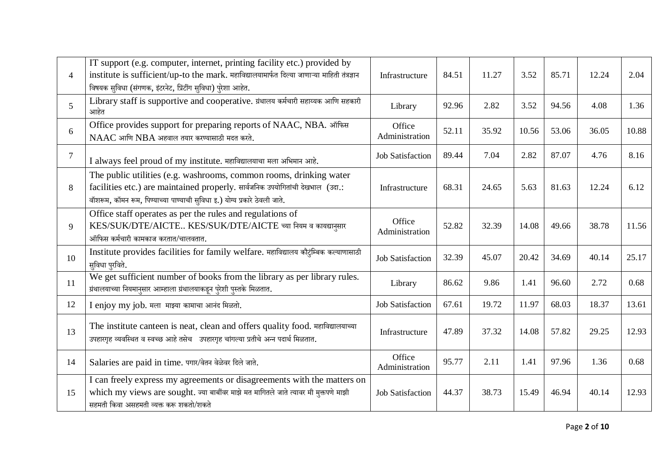|                | IT support (e.g. computer, internet, printing facility etc.) provided by                                                                                                                                                          |                          |       |       |       |       |       |       |
|----------------|-----------------------------------------------------------------------------------------------------------------------------------------------------------------------------------------------------------------------------------|--------------------------|-------|-------|-------|-------|-------|-------|
| $\overline{4}$ | institute is sufficient/up-to the mark. महाविद्यालयामार्फत दिल्या जाणाऱ्या माहिती तंत्रज्ञान<br>विषयक सुविधा (संगणक, इंटरनेट, प्रिंटींग सुविधा) पुरेशा आहेत.                                                                      | Infrastructure           | 84.51 | 11.27 | 3.52  | 85.71 | 12.24 | 2.04  |
| 5              | Library staff is supportive and cooperative. ग्रंथालय कर्मचारी सहाय्यक आणि सहकारी<br>आहेत                                                                                                                                         | Library                  | 92.96 | 2.82  | 3.52  | 94.56 | 4.08  | 1.36  |
| 6              | Office provides support for preparing reports of NAAC, NBA. ऑफिस<br>NAAC आणि NBA अहवाल तयार करण्यासाठी मदत करते.                                                                                                                  | Office<br>Administration | 52.11 | 35.92 | 10.56 | 53.06 | 36.05 | 10.88 |
| $\overline{7}$ | I always feel proud of my institute. महाविद्यालयाचा मला अभिमान आहे.                                                                                                                                                               | <b>Job Satisfaction</b>  | 89.44 | 7.04  | 2.82  | 87.07 | 4.76  | 8.16  |
| 8              | The public utilities (e.g. washrooms, common rooms, drinking water<br>facilities etc.) are maintained properly. सार्वजनिक उपयोगितांची देखभाल (उदा.:<br>वॉशरूम, कॉमन रूम, पिण्याच्या पाण्याची सुविधा इ.) योग्य प्रकारे ठेवली जाते. | Infrastructure           | 68.31 | 24.65 | 5.63  | 81.63 | 12.24 | 6.12  |
| 9              | Office staff operates as per the rules and regulations of<br>KES/SUK/DTE/AICTE KES/SUK/DTE/AICTE च्या नियम व कायद्यानुसार<br>ऑफिस कर्मचारी कामकाज करतात/चालवतात.                                                                  | Office<br>Administration | 52.82 | 32.39 | 14.08 | 49.66 | 38.78 | 11.56 |
| 10             | Institute provides facilities for family welfare. महाविद्यालय कौटुंम्बिक कल्याणासाठी<br>सुविधा पुरविते.                                                                                                                           | <b>Job Satisfaction</b>  | 32.39 | 45.07 | 20.42 | 34.69 | 40.14 | 25.17 |
| 11             | We get sufficient number of books from the library as per library rules.<br>ग्रंथालयाच्या नियमानुसार आम्हाला ग्रंथालयाकडून पुरेशी पुस्तके मिळतात.                                                                                 | Library                  | 86.62 | 9.86  | 1.41  | 96.60 | 2.72  | 0.68  |
| 12             | I enjoy my job. मला माझ्या कामाचा आनंद मिळतो.                                                                                                                                                                                     | <b>Job Satisfaction</b>  | 67.61 | 19.72 | 11.97 | 68.03 | 18.37 | 13.61 |
| 13             | The institute canteen is neat, clean and offers quality food. महाविद्यालयाच्या<br>उपहारगृह व्यवस्थित व स्वच्छ आहे तसेच उपहारगृह चांगल्या प्रतीचे अन्न पदार्थ मिळतात.                                                              | Infrastructure           | 47.89 | 37.32 | 14.08 | 57.82 | 29.25 | 12.93 |
| 14             | Salaries are paid in time. पगार/वेतन वेळेवर दिले जाते.                                                                                                                                                                            | Office<br>Administration | 95.77 | 2.11  | 1.41  | 97.96 | 1.36  | 0.68  |
| 15             | I can freely express my agreements or disagreements with the matters on<br>which my views are sought. ज्या बाबींवर माझे मत मागितले जाते त्यावर मी मुक्तपणे माझी<br>सहमती किंवा असहमती व्यक्त करू शकतो/शकते                        | <b>Job Satisfaction</b>  | 44.37 | 38.73 | 15.49 | 46.94 | 40.14 | 12.93 |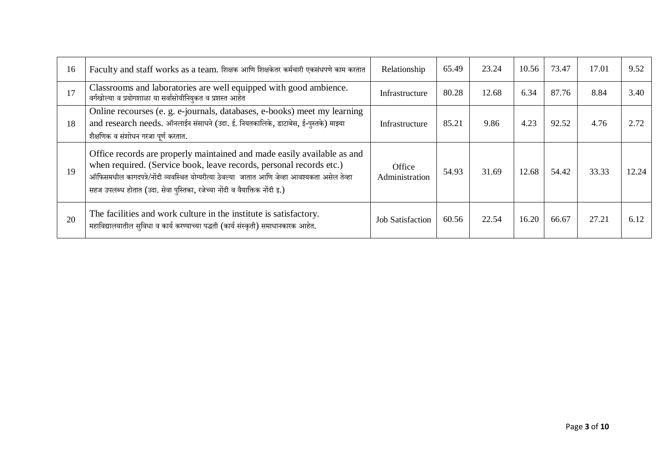| 16 | Faculty and staff works as a team. शिक्षक आणि शिक्षकेतर कर्मचारी एकसंधपणे काम करतात                                                                                                                                                                                                                                          | Relationship             | 65.49 | 23.24 | 10.56 | 73.47 | 17.01 | 9.52  |
|----|------------------------------------------------------------------------------------------------------------------------------------------------------------------------------------------------------------------------------------------------------------------------------------------------------------------------------|--------------------------|-------|-------|-------|-------|-------|-------|
| 17 | Classrooms and laboratories are well equipped with good ambience.<br>वर्गखोल्या व प्रयोगशाळा या सर्वासोयीनियुकत व प्रशस्त आहेत                                                                                                                                                                                               | Infrastructure           | 80.28 | 12.68 | 6.34  | 87.76 | 8.84  | 3.40  |
| 18 | Online recourses (e. g. e-journals, databases, e-books) meet my learning<br>and research needs. ऑनलाईन संसाधने (उदा. ई. नियतकालिके, डाटाबेस, ई-पुस्तके) माझ्या<br>शैक्षणिक व संशोधन गरजा पर्ण करतात.                                                                                                                         | Infrastructure           | 85.21 | 9.86  | 4.23  | 92.52 | 4.76  | 2.72  |
| 19 | Office records are properly maintained and made easily available as and<br>when required. (Service book, leave records, personal records etc.)<br>ऑफिसमधील कागदपत्रे/नोंदी व्यवस्थित योग्यरीत्या ठेवल्या  जातात आणि जेव्हा आवश्यकता असेल तेव्हा<br>सहज उपलब्ध होतात (उदा. सेवा पुस्तिका, रजेच्या नोंदी व वैयाक्तिक नोंदी इ.) | Office<br>Administration | 54.93 | 31.69 | 12.68 | 54.42 | 33.33 | 12.24 |
| 20 | The facilities and work culture in the institute is satisfactory.<br>महाविद्यालयातील सुविधा व कार्य करण्याच्या पद्धती (कार्य संस्कृती) समाधानकारक आहेत.                                                                                                                                                                      | <b>Job Satisfaction</b>  | 60.56 | 22.54 | 16.20 | 66.67 | 27.21 | 6.12  |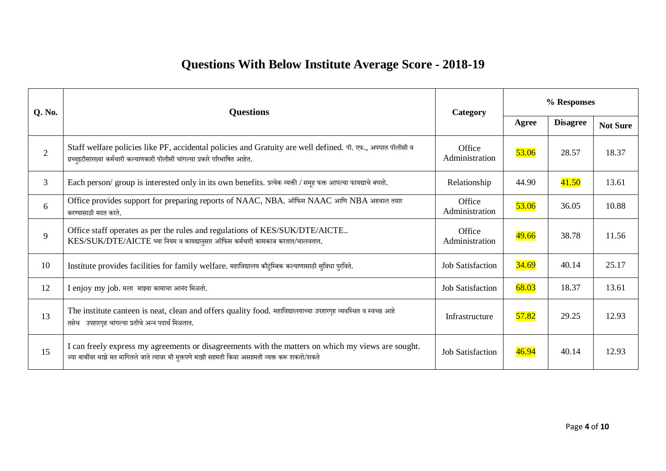## **Questions With Below Institute Average Score - 2018-19**

| <b>Q. No.</b>  | <b>Questions</b>                                                                                                                                                                                        | Category                 | % Responses  |                 |                 |  |
|----------------|---------------------------------------------------------------------------------------------------------------------------------------------------------------------------------------------------------|--------------------------|--------------|-----------------|-----------------|--|
|                |                                                                                                                                                                                                         |                          | Agree        | <b>Disagree</b> | <b>Not Sure</b> |  |
| $\overline{2}$ | Staff welfare policies like PF, accidental policies and Gratuity are well defined. पी. एफ., अपघात पॉलीसी व<br>ग्रच्युइटीसारख्या कर्मचारी कल्याणकारी पॉलीसी चांगल्या प्रकारे परिभाषित आहेत.              | Office<br>Administration | 53.06        | 28.57           | 18.37           |  |
| $\overline{3}$ | Each person/ group is interested only in its own benefits. प्रत्येक व्यक्ती / समूह फक्त आपल्या फायद्याचे बघतो.                                                                                          | Relationship             | 44.90        | 41.50           | 13.61           |  |
| 6              | Office provides support for preparing reports of NAAC, NBA. ऑफिस NAAC आणि NBA अहवाल तयार<br>करण्यासाठी मदत करते.                                                                                        | Office<br>Administration | 53.06        | 36.05           | 10.88           |  |
| 9              | Office staff operates as per the rules and regulations of KES/SUK/DTE/AICTE<br>$KES/SUK/DTE/AICTE$ च्या नियम व कायद्यानुसार ऑफिस कर्मचारी कामकाज करतात/चालवतात.                                         | Office<br>Administration | 49.66        | 38.78           | 11.56           |  |
| 10             | Institute provides facilities for family welfare. महाविद्यालय कौटुंम्बिक कल्याणासाठी सुविधा पुरविते.                                                                                                    | <b>Job Satisfaction</b>  | <b>34.69</b> | 40.14           | 25.17           |  |
| 12             | I enjoy my job. मला  माझ्या कामाचा आनंद मिळतो.                                                                                                                                                          | <b>Job Satisfaction</b>  | 68.03        | 18.37           | 13.61           |  |
| 13             | The institute canteen is neat, clean and offers quality food. महाविद्यालयाच्या उपहारगृह व्यवस्थित व स्वच्छ आहे<br>तसेच उपहारगृह चांगल्या प्रतीचे अन्न पदार्थ मिळतात.                                    | Infrastructure           | 57.82        | 29.25           | 12.93           |  |
| 15             | I can freely express my agreements or disagreements with the matters on which my views are sought.<br>ज्या बार्बीवर माझे मत मागितले जाते त्यावर मी मुक्तपणे माझी सहमती किवा असहमती व्यक्त करू शकतो/शकते | <b>Job Satisfaction</b>  | 46.94        | 40.14           | 12.93           |  |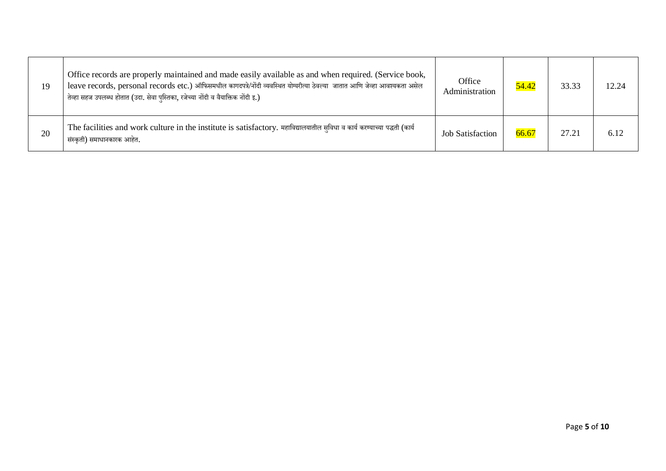| 19 | Office records are properly maintained and made easily available as and when required. (Service book,<br>leave records, personal records etc.) ऑफिसमधील कागदपत्रे/नोंदी व्यवस्थित योग्यरीत्या ठेवल्या जातात आणि जेव्हा आवश्यकता असेल<br>तेव्हा सहज उपलब्ध होतात (उदा. सेवा पुस्तिका, रजेच्या नोंदी व वैयाक्तिक नोंदी इ.) | Office<br>Administration | 54.42 | 33.33 | 12.24 |
|----|--------------------------------------------------------------------------------------------------------------------------------------------------------------------------------------------------------------------------------------------------------------------------------------------------------------------------|--------------------------|-------|-------|-------|
| 20 | The facilities and work culture in the institute is satisfactory. महाविद्यालयातील सुविधा व कार्य करण्याच्या पद्धती (कार्य<br>संस्कृती) समाधानकारक आहेत.                                                                                                                                                                  | <b>Job Satisfaction</b>  | 66.67 | 27.21 | 6.12  |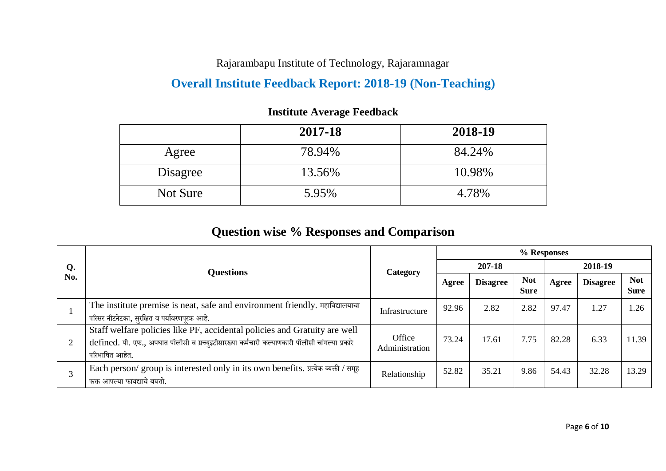Rajarambapu Institute of Technology, Rajaramnagar

### **Overall Institute Feedback Report: 2018-19 (Non-Teaching)**

|          | 2017-18 | 2018-19 |
|----------|---------|---------|
| Agree    | 78.94%  | 84.24%  |
| Disagree | 13.56%  | 10.98%  |
| Not Sure | 5.95%   | 4.78%   |

#### **Institute Average Feedback**

### **Question wise % Responses and Comparison**

|     |                                                                                                                                                                                               | Category                 | % Responses |                 |                           |         |                 |                           |  |
|-----|-----------------------------------------------------------------------------------------------------------------------------------------------------------------------------------------------|--------------------------|-------------|-----------------|---------------------------|---------|-----------------|---------------------------|--|
| Q.  | <b>Questions</b>                                                                                                                                                                              |                          | 207-18      |                 |                           | 2018-19 |                 |                           |  |
| No. |                                                                                                                                                                                               |                          | Agree       | <b>Disagree</b> | <b>Not</b><br><b>Sure</b> | Agree   | <b>Disagree</b> | <b>Not</b><br><b>Sure</b> |  |
|     | The institute premise is neat, safe and environment friendly. महाविद्यालयाचा<br>परिसर नीटनेटका, सुरक्षित व पर्यावरणपूरक आहे.                                                                  | Infrastructure           | 92.96       | 2.82            | 2.82                      | 97.47   | 1.27            | 1.26                      |  |
|     | Staff welfare policies like PF, accidental policies and Gratuity are well<br>defined. पी. एफ., अपघात पॉलीसी व ग्रच्युइटीसारख्या कर्मचारी कल्याणकारी पॉलीसी चांगल्या प्रकारे<br>परिभाषित आहेत. | Office<br>Administration | 73.24       | 17.61           | 7.75                      | 82.28   | 6.33            | 11.39                     |  |
|     | Each person/ group is interested only in its own benefits. प्रत्येक व्यक्ती / समूह<br>फक्त आपल्या फायद्याचे बघतो.                                                                             | Relationship             | 52.82       | 35.21           | 9.86                      | 54.43   | 32.28           | 13.29                     |  |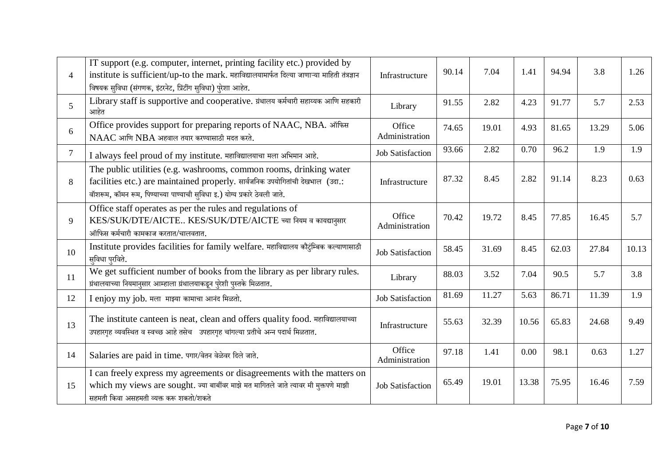| $\overline{4}$ | IT support (e.g. computer, internet, printing facility etc.) provided by<br>institute is sufficient/up-to the mark. महाविद्यालयामार्फत दिल्या जाणाऱ्या माहिती तंत्रज्ञान<br>विषयक सुविधा (संगणक, इंटरनेट, प्रिंटींग सुविधा) पुरेशा आहेत. | Infrastructure           | 90.14 | 7.04  | 1.41  | 94.94 | 3.8   | 1.26  |
|----------------|------------------------------------------------------------------------------------------------------------------------------------------------------------------------------------------------------------------------------------------|--------------------------|-------|-------|-------|-------|-------|-------|
| 5 <sup>1</sup> | Library staff is supportive and cooperative. ग्रंथालय कर्मचारी सहाय्यक आणि सहकारी<br>आहेत                                                                                                                                                | Library                  | 91.55 | 2.82  | 4.23  | 91.77 | 5.7   | 2.53  |
| 6              | Office provides support for preparing reports of NAAC, NBA. ऑफिस<br>NAAC आणि NBA अहवाल तयार करण्यासाठी मदत करते.                                                                                                                         | Office<br>Administration | 74.65 | 19.01 | 4.93  | 81.65 | 13.29 | 5.06  |
| $\tau$         | I always feel proud of my institute. महाविद्यालयाचा मला अभिमान आहे.                                                                                                                                                                      | <b>Job Satisfaction</b>  | 93.66 | 2.82  | 0.70  | 96.2  | 1.9   | 1.9   |
| 8              | The public utilities (e.g. washrooms, common rooms, drinking water<br>facilities etc.) are maintained properly. सार्वजनिक उपयोगितांची देखभाल (उदा.:<br>वॉशरूम, कॉमन रूम, पिण्याच्या पाण्याची सुविधा इ.) योग्य प्रकारे ठेवली जाते.        | Infrastructure           | 87.32 | 8.45  | 2.82  | 91.14 | 8.23  | 0.63  |
| 9              | Office staff operates as per the rules and regulations of<br>KES/SUK/DTE/AICTE KES/SUK/DTE/AICTE च्या नियम व कायद्यानुसार<br>ऑफिस कर्मचारी कामकाज करतात/चालवतात.                                                                         | Office<br>Administration | 70.42 | 19.72 | 8.45  | 77.85 | 16.45 | 5.7   |
| 10             | Institute provides facilities for family welfare. महाविद्यालय कौटुंम्बिक कल्याणासाठी<br>सुविधा पुरविते.                                                                                                                                  | Job Satisfaction         | 58.45 | 31.69 | 8.45  | 62.03 | 27.84 | 10.13 |
| 11             | We get sufficient number of books from the library as per library rules.<br>ग्रंथालयाच्या नियमानुसार आम्हाला ग्रंथालयाकडून पुरेशी पुस्तके मिळतात.                                                                                        | Library                  | 88.03 | 3.52  | 7.04  | 90.5  | 5.7   | 3.8   |
| 12             | I enjoy my job. मला माझ्या कामाचा आनंद मिळतो.                                                                                                                                                                                            | <b>Job Satisfaction</b>  | 81.69 | 11.27 | 5.63  | 86.71 | 11.39 | 1.9   |
| 13             | The institute canteen is neat, clean and offers quality food. महाविद्यालयाच्या<br>उपहारगृह व्यवस्थित व स्वच्छ आहे तसेच उपहारगृह चांगल्या प्रतीचे अन्न पदार्थ मिळतात.                                                                     | Infrastructure           | 55.63 | 32.39 | 10.56 | 65.83 | 24.68 | 9.49  |
| 14             | Salaries are paid in time. पगार/वेतन वेळेवर दिले जाते.                                                                                                                                                                                   | Office<br>Administration | 97.18 | 1.41  | 0.00  | 98.1  | 0.63  | 1.27  |
| 15             | I can freely express my agreements or disagreements with the matters on<br>which my views are sought. ज्या बाबींवर माझे मत मागितले जाते त्यावर मी मुक्तपणे माझी<br>सहमती किंवा असहमती व्यक्त करू शकतो/शकते                               | <b>Job Satisfaction</b>  | 65.49 | 19.01 | 13.38 | 75.95 | 16.46 | 7.59  |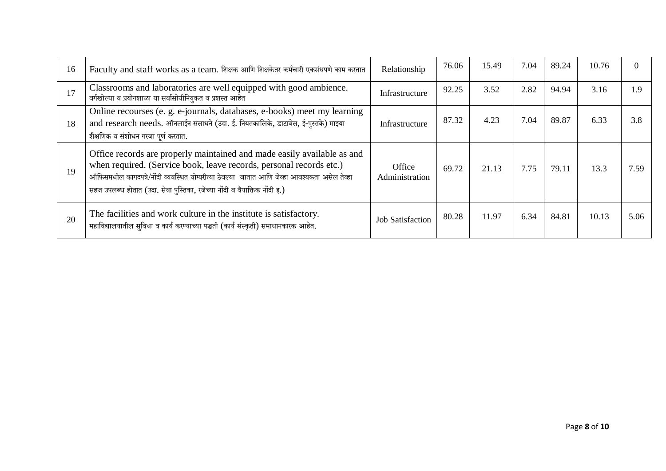| 16 | Faculty and staff works as a team. शिक्षक आणि शिक्षकेतर कर्मचारी एकसंधपणे काम करतात                                                                                                                                                                                                                                          | Relationship             | 76.06 | 15.49 | 7.04 | 89.24 | 10.76 |      |
|----|------------------------------------------------------------------------------------------------------------------------------------------------------------------------------------------------------------------------------------------------------------------------------------------------------------------------------|--------------------------|-------|-------|------|-------|-------|------|
| 17 | Classrooms and laboratories are well equipped with good ambience.<br>वर्गखोल्या व प्रयोगशाळा या सर्वासोयीनियुकत व प्रशस्त आहेत                                                                                                                                                                                               | Infrastructure           | 92.25 | 3.52  | 2.82 | 94.94 | 3.16  | 1.9  |
| 18 | Online recourses (e. g. e-journals, databases, e-books) meet my learning<br>and research needs. ऑनलाईन संसाधने (उदा. ई. नियतकालिके, डाटाबेस, ई-पुस्तके) माझ्या<br>शैक्षणिक व संशोधन गरजा पर्ण करतात.                                                                                                                         | Infrastructure           | 87.32 | 4.23  | 7.04 | 89.87 | 6.33  | 3.8  |
| 19 | Office records are properly maintained and made easily available as and<br>when required. (Service book, leave records, personal records etc.)<br>ऑफिसमधील कागदपत्रे/नोंदी व्यवस्थित योग्यरीत्या ठेवल्या  जातात आणि जेव्हा आवश्यकता असेल तेव्हा<br>सहज उपलब्ध होतात (उदा. सेवा पुस्तिका, रजेच्या नोंदी व वैयाक्तिक नोंदी इ.) | Office<br>Administration | 69.72 | 21.13 | 7.75 | 79.11 | 13.3  | 7.59 |
| 20 | The facilities and work culture in the institute is satisfactory.<br>महाविद्यालयातील सुविधा व कार्य करण्याच्या पद्धती (कार्य संस्कृती) समाधानकारक आहेत.                                                                                                                                                                      | <b>Job Satisfaction</b>  | 80.28 | 11.97 | 6.34 | 84.81 | 10.13 | 5.06 |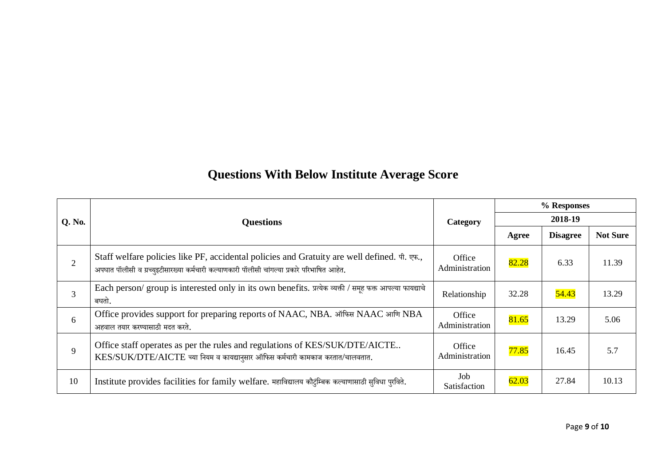# **Questions With Below Institute Average Score**

|                |                                                                                                                                                                                            |                          | % Responses |                 |                 |  |
|----------------|--------------------------------------------------------------------------------------------------------------------------------------------------------------------------------------------|--------------------------|-------------|-----------------|-----------------|--|
| Q. No.         | <b>Questions</b>                                                                                                                                                                           | Category                 | 2018-19     |                 |                 |  |
|                |                                                                                                                                                                                            |                          | Agree       | <b>Disagree</b> | <b>Not Sure</b> |  |
| $\overline{2}$ | Staff welfare policies like PF, accidental policies and Gratuity are well defined. पी. एफ.,<br>अपघात पॉलीसी व ग्रच्युइटीसारख्या कर्मचारी कल्याणकारी पॉलीसी चांगल्या प्रकारे परिभाषित आहेत. | Office<br>Administration | 82.28       | 6.33            | 11.39           |  |
| $\overline{3}$ | Each person/ group is interested only in its own benefits. प्रत्येक व्यक्ती / समूह फक्त आपल्या फायद्याचे<br>बघतो.                                                                          | Relationship             | 32.28       | 54.43           | 13.29           |  |
| 6              | Office provides support for preparing reports of NAAC, NBA. ऑफिस NAAC आणि NBA<br>अहवाल तयार करण्यासाठी मदत करते.                                                                           | Office<br>Administration | 81.65       | 13.29           | 5.06            |  |
| 9              | Office staff operates as per the rules and regulations of KES/SUK/DTE/AICTE<br>KES/SUK/DTE/AICTE च्या नियम व कायद्यानुसार ऑफिस कर्मचारी कामकाज करतात/चालवतात.                              | Office<br>Administration | 77.85       | 16.45           | 5.7             |  |
| 10             | Institute provides facilities for family welfare. महाविद्यालय कौटुंम्बिक कल्याणासाठी सुविधा पुरविते.                                                                                       | Job<br>Satisfaction      | 62.03       | 27.84           | 10.13           |  |